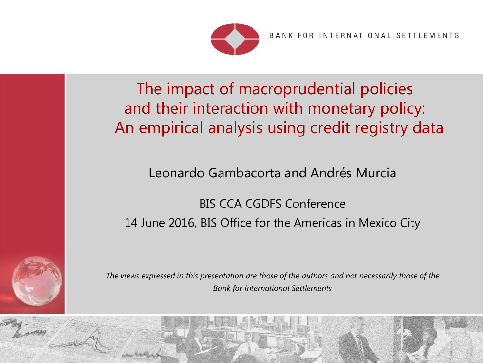

BANK FOR INTERNATIONAL SETTLEMENTS

 $\epsilon$ 

The impact of macroprudential policies and their interaction with monetary policy: An empirical analysis using credit registry data

Leonardo Gambacorta and Andrés Murcia

BIS CCA CGDFS Conference 14 June 2016, BIS Office for the Americas in Mexico City



*The views expressed in this presentation are those of the authors and not necessarily those of the Bank for International Settlements*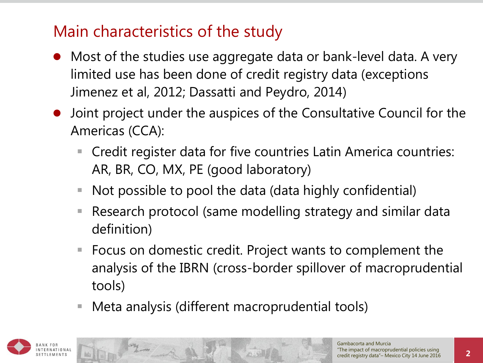# Main characteristics of the study

- Most of the studies use aggregate data or bank-level data. A very limited use has been done of credit registry data (exceptions Jimenez et al, 2012; Dassatti and Peydro, 2014)
- Joint project under the auspices of the Consultative Council for the Americas (CCA):
	- Credit register data for five countries Latin America countries: AR, BR, CO, MX, PE (good laboratory)
	- Not possible to pool the data (data highly confidential)
	- Research protocol (same modelling strategy and similar data definition)
	- Focus on domestic credit. Project wants to complement the analysis of the IBRN (cross-border spillover of macroprudential tools)
	- Meta analysis (different macroprudential tools)

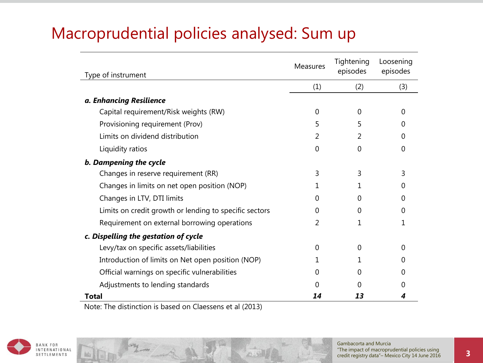# Macroprudential policies analysed: Sum up

| Type of instrument                                     | <b>Measures</b> | Tightening<br>episodes | Loosening<br>episodes |
|--------------------------------------------------------|-----------------|------------------------|-----------------------|
|                                                        | (1)             | (2)                    | (3)                   |
| a. Enhancing Resilience                                |                 |                        |                       |
| Capital requirement/Risk weights (RW)                  | $\Omega$        | 0                      | 0                     |
| Provisioning requirement (Prov)                        | 5               | 5                      | $\mathcal{L}$         |
| Limits on dividend distribution                        | 2               | 2                      | $\mathcal{L}$         |
| Liquidity ratios                                       | $\overline{0}$  | $\Omega$               | 0                     |
| b. Dampening the cycle                                 |                 |                        |                       |
| Changes in reserve requirement (RR)                    | 3               | 3                      | 3                     |
| Changes in limits on net open position (NOP)           | 1               |                        | $\mathcal{L}$         |
| Changes in LTV, DTI limits                             | 0               | <sup>0</sup>           | O                     |
| Limits on credit growth or lending to specific sectors | 0               | 0                      | O                     |
| Requirement on external borrowing operations           | 2               | 1                      |                       |
| c. Dispelling the gestation of cycle                   |                 |                        |                       |
| Levy/tax on specific assets/liabilities                | 0               | 0                      | 0                     |
| Introduction of limits on Net open position (NOP)      | 1               |                        |                       |
| Official warnings on specific vulnerabilities          | 0               | 0                      | $\mathcal{O}$         |
| Adjustments to lending standards                       | 0               | 0                      |                       |
| Total                                                  | 14              | 13                     |                       |

Note: The distinction is based on Claessens et al (2013)

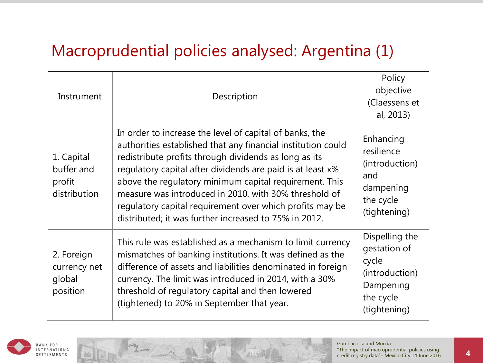### Macroprudential policies analysed: Argentina (1)

| Instrument                                         | Description                                                                                                                                                                                                                                                                                                                                                                                                                                                                            | Policy<br>objective<br>(Claessens et<br>al, 2013)                                                   |
|----------------------------------------------------|----------------------------------------------------------------------------------------------------------------------------------------------------------------------------------------------------------------------------------------------------------------------------------------------------------------------------------------------------------------------------------------------------------------------------------------------------------------------------------------|-----------------------------------------------------------------------------------------------------|
| 1. Capital<br>buffer and<br>profit<br>distribution | In order to increase the level of capital of banks, the<br>authorities established that any financial institution could<br>redistribute profits through dividends as long as its<br>regulatory capital after dividends are paid is at least x%<br>above the regulatory minimum capital requirement. This<br>measure was introduced in 2010, with 30% threshold of<br>regulatory capital requirement over which profits may be<br>distributed; it was further increased to 75% in 2012. | Enhancing<br>resilience<br>(introduction)<br>and<br>dampening<br>the cycle<br>(tightening)          |
| 2. Foreign<br>currency net<br>global<br>position   | This rule was established as a mechanism to limit currency<br>mismatches of banking institutions. It was defined as the<br>difference of assets and liabilities denominated in foreign<br>currency. The limit was introduced in 2014, with a 30%<br>threshold of regulatory capital and then lowered<br>(tightened) to 20% in September that year.                                                                                                                                     | Dispelling the<br>gestation of<br>cycle<br>(introduction)<br>Dampening<br>the cycle<br>(tightening) |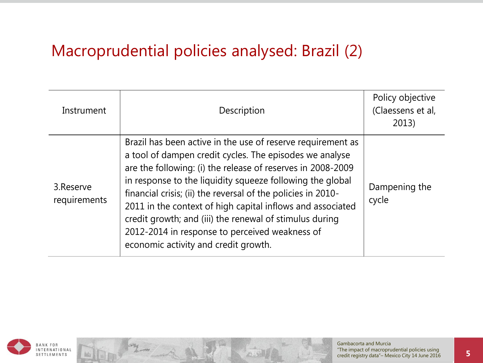### Macroprudential policies analysed: Brazil (2)

| Instrument                 | Description                                                                                                                                                                                                                                                                                                                                                                                                                                                                                                                           | Policy objective<br>(Claessens et al,<br>2013) |
|----------------------------|---------------------------------------------------------------------------------------------------------------------------------------------------------------------------------------------------------------------------------------------------------------------------------------------------------------------------------------------------------------------------------------------------------------------------------------------------------------------------------------------------------------------------------------|------------------------------------------------|
| 3. Reserve<br>requirements | Brazil has been active in the use of reserve requirement as<br>a tool of dampen credit cycles. The episodes we analyse<br>are the following: (i) the release of reserves in 2008-2009<br>in response to the liquidity squeeze following the global<br>financial crisis; (ii) the reversal of the policies in 2010-<br>2011 in the context of high capital inflows and associated<br>credit growth; and (iii) the renewal of stimulus during<br>2012-2014 in response to perceived weakness of<br>economic activity and credit growth. | Dampening the<br>cycle                         |

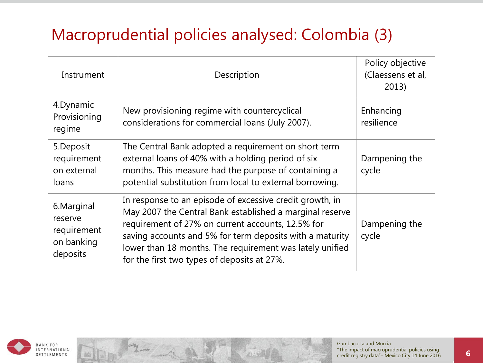# Macroprudential policies analysed: Colombia (3)

| Instrument                                                      | Description                                                                                                                                                                                                                                                                                                                                      | Policy objective<br>(Claessens et al,<br>2013) |
|-----------------------------------------------------------------|--------------------------------------------------------------------------------------------------------------------------------------------------------------------------------------------------------------------------------------------------------------------------------------------------------------------------------------------------|------------------------------------------------|
| 4. Dynamic<br>Provisioning<br>regime                            | New provisioning regime with countercyclical<br>considerations for commercial loans (July 2007).                                                                                                                                                                                                                                                 | Enhancing<br>resilience                        |
| 5. Deposit<br>requirement<br>on external<br>loans               | The Central Bank adopted a requirement on short term<br>external loans of 40% with a holding period of six<br>months. This measure had the purpose of containing a<br>potential substitution from local to external borrowing.                                                                                                                   | Dampening the<br>cycle                         |
| 6. Marginal<br>reserve<br>requirement<br>on banking<br>deposits | In response to an episode of excessive credit growth, in<br>May 2007 the Central Bank established a marginal reserve<br>requirement of 27% on current accounts, 12.5% for<br>saving accounts and 5% for term deposits with a maturity<br>lower than 18 months. The requirement was lately unified<br>for the first two types of deposits at 27%. | Dampening the<br>cycle                         |

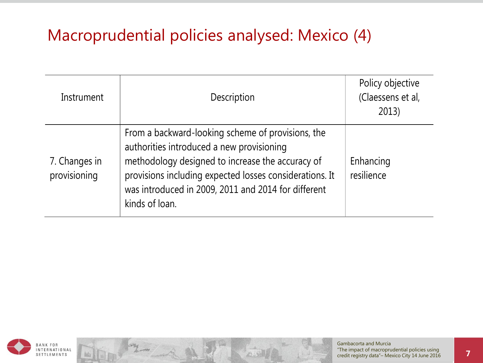# Macroprudential policies analysed: Mexico (4)

| Instrument                    | Description                                                                                                                                                                                                                                                                            | Policy objective<br>(Claessens et al,<br>2013) |
|-------------------------------|----------------------------------------------------------------------------------------------------------------------------------------------------------------------------------------------------------------------------------------------------------------------------------------|------------------------------------------------|
| 7. Changes in<br>provisioning | From a backward-looking scheme of provisions, the<br>authorities introduced a new provisioning<br>methodology designed to increase the accuracy of<br>provisions including expected losses considerations. It<br>was introduced in 2009, 2011 and 2014 for different<br>kinds of loan. | Enhancing<br>resilience                        |

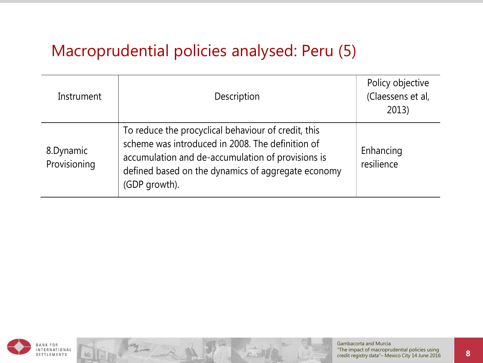#### Macroprudential policies analysed: Peru (5)

| Instrument                | Description                                                                                                                                                                                                                         | Policy objective<br>(Claessens et al,<br>2013) |
|---------------------------|-------------------------------------------------------------------------------------------------------------------------------------------------------------------------------------------------------------------------------------|------------------------------------------------|
| 8.Dynamic<br>Provisioning | To reduce the procyclical behaviour of credit, this<br>scheme was introduced in 2008. The definition of<br>accumulation and de-accumulation of provisions is<br>defined based on the dynamics of aggregate economy<br>(GDP growth). | Enhancing<br>resilience                        |

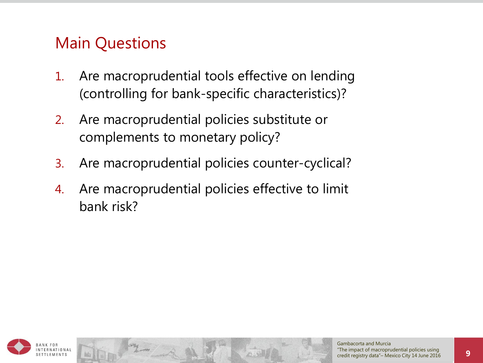### Main Questions

- 1. Are macroprudential tools effective on lending (controlling for bank-specific characteristics)?
- 2. Are macroprudential policies substitute or complements to monetary policy?
- 3. Are macroprudential policies counter-cyclical?
- 4. Are macroprudential policies effective to limit bank risk?

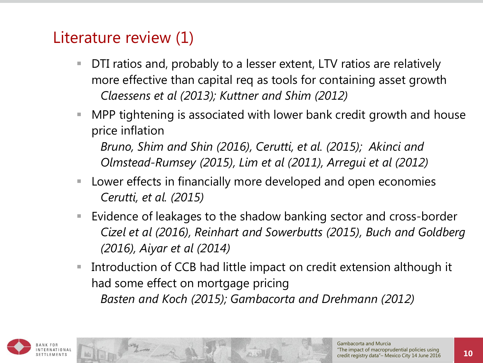### Literature review (1)

- DTI ratios and, probably to a lesser extent, LTV ratios are relatively more effective than capital req as tools for containing asset growth *Claessens et al (2013); Kuttner and Shim (2012)*
- MPP tightening is associated with lower bank credit growth and house price inflation

*Bruno, Shim and Shin (2016), Cerutti, et al. (2015); Akinci and Olmstead-Rumsey (2015), Lim et al (2011), Arregui et al (2012)*

- Lower effects in financially more developed and open economies *Cerutti, et al. (2015)*
- Evidence of leakages to the shadow banking sector and cross-border *Cizel et al (2016), Reinhart and Sowerbutts (2015), Buch and Goldberg (2016), Aiyar et al (2014)*
- Introduction of CCB had little impact on credit extension although it had some effect on mortgage pricing *Basten and Koch (2015); Gambacorta and Drehmann (2012)*

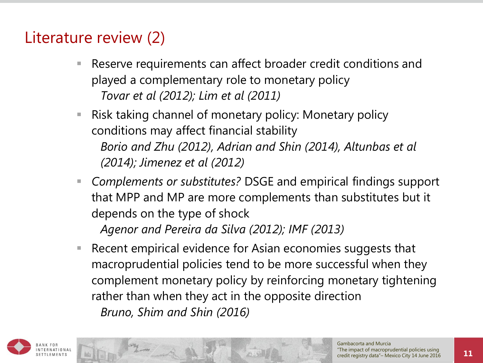# Literature review (2)

- Reserve requirements can affect broader credit conditions and played a complementary role to monetary policy *Tovar et al (2012); Lim et al (2011)*
- Risk taking channel of monetary policy: Monetary policy conditions may affect financial stability *Borio and Zhu (2012), Adrian and Shin (2014), Altunbas et al (2014); Jimenez et al (2012)*
- *Complements or substitutes?* DSGE and empirical findings support that MPP and MP are more complements than substitutes but it depends on the type of shock *Agenor and Pereira da Silva (2012); IMF (2013)*
- Recent empirical evidence for Asian economies suggests that macroprudential policies tend to be more successful when they complement monetary policy by reinforcing monetary tightening rather than when they act in the opposite direction *Bruno, Shim and Shin (2016)*

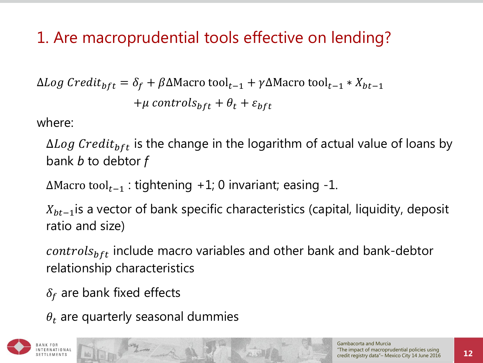# 1. Are macroprudential tools effective on lending?

 $\Delta Log \, Credit_{bft} = \delta_f + \beta \Delta$ Macro tool<sub>t−1</sub> +  $\gamma \Delta$ Macro tool<sub>t−1</sub> \*  $X_{bt-1}$  $+\mu$  controls<sub>bft</sub> +  $\theta_t$  +  $\varepsilon_{bft}$ 

where:

 $\Delta Log\ Credit_{bft}$  is the change in the logarithm of actual value of loans by bank *b* to debtor *f*

 $\Delta$ Macro tool<sub>t-1</sub> : tightening +1; 0 invariant; easing -1.

 $X_{bt-1}$  is a vector of bank specific characteristics (capital, liquidity, deposit ratio and size)

*controls<sub>bft</sub>* include macro variables and other bank and bank-debtor relationship characteristics

 $\delta_f$  are bank fixed effects

 $\theta_t$  are quarterly seasonal dummies

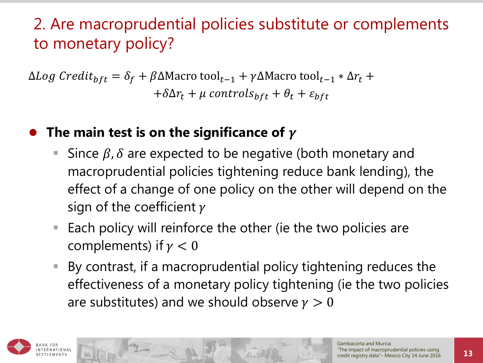# 2. Are macroprudential policies substitute or complements to monetary policy?

 $\Delta Log \; Credit_{bft} = \delta_f + \beta \Delta$ Macro tool<sub>t−1</sub> + γ $\Delta$ Macro tool<sub>t−1</sub> \*  $\Delta r_t$  +  $+\delta \Delta r_t + \mu$  controls<sub>bft</sub> +  $\theta_t$  +  $\varepsilon_{bft}$ 

#### The main test is on the significance of  $\gamma$

- Since  $\beta$ ,  $\delta$  are expected to be negative (both monetary and macroprudential policies tightening reduce bank lending), the effect of a change of one policy on the other will depend on the sign of the coefficient  $\gamma$
- Each policy will reinforce the other (ie the two policies are complements) if  $\gamma < 0$
- By contrast, if a macroprudential policy tightening reduces the effectiveness of a monetary policy tightening (ie the two policies are substitutes) and we should observe  $\gamma > 0$

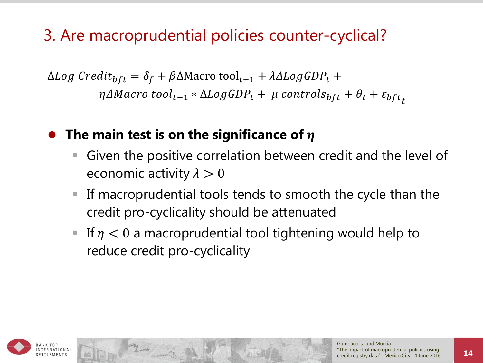# 3. Are macroprudential policies counter-cyclical?

 $\Delta Log \, Credit_{bft} = \delta_f + \beta \Delta M$ acro tool<sub>t−1</sub> +  $\lambda \Delta Log GDP_t$  +  $\eta\Delta Macro\ tool_{t-1} * \Delta LogGDP_t + \mu\ controls_{bft} + \theta_t + \varepsilon_{bft}$ 

#### **• The main test is on the significance of**  $\eta$

- Given the positive correlation between credit and the level of economic activity  $\lambda > 0$
- If macroprudential tools tends to smooth the cycle than the credit pro-cyclicality should be attenuated
- If  $\eta$  < 0 a macroprudential tool tightening would help to reduce credit pro-cyclicality

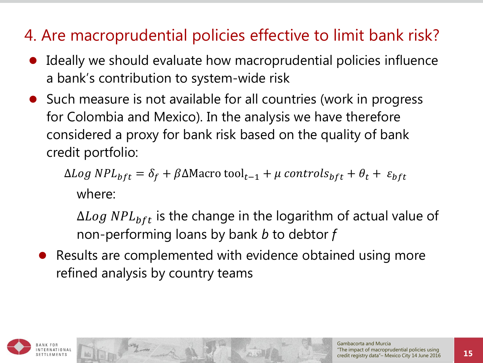# 4. Are macroprudential policies effective to limit bank risk?

- Ideally we should evaluate how macroprudential policies influence a bank's contribution to system-wide risk
- Such measure is not available for all countries (work in progress for Colombia and Mexico). In the analysis we have therefore considered a proxy for bank risk based on the quality of bank credit portfolio:

 $\Delta Log NPL_{bft} = \delta_f + \beta \Delta M$ acro tool<sub>t-1</sub> +  $\mu$  controls<sub>bft</sub> +  $\theta_t$  +  $\varepsilon_{bft}$ where:

 $\Delta Log~NPL_{bft}$  is the change in the logarithm of actual value of non-performing loans by bank *b* to debtor *f*

 Results are complemented with evidence obtained using more refined analysis by country teams

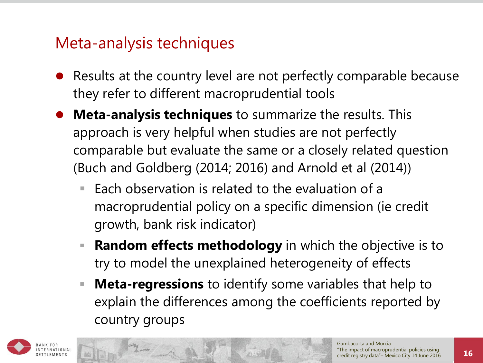#### Meta-analysis techniques

- Results at the country level are not perfectly comparable because they refer to different macroprudential tools
- **Meta-analysis techniques** to summarize the results. This approach is very helpful when studies are not perfectly comparable but evaluate the same or a closely related question (Buch and Goldberg (2014; 2016) and Arnold et al (2014))
	- $\blacksquare$  Each observation is related to the evaluation of a macroprudential policy on a specific dimension (ie credit growth, bank risk indicator)
	- **Random effects methodology** in which the objective is to try to model the unexplained heterogeneity of effects
	- **Meta-regressions** to identify some variables that help to explain the differences among the coefficients reported by country groups

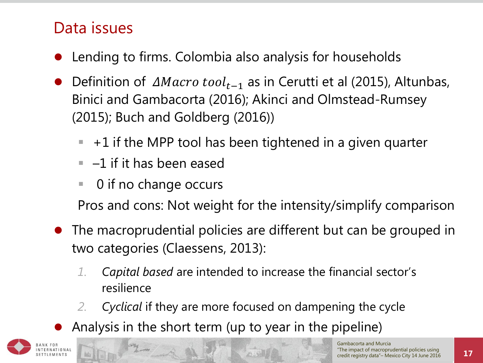# Data issues

- Lending to firms. Colombia also analysis for households
- Definition of  $\Delta Macro\ tool_{t-1}$  as in Cerutti et al (2015), Altunbas, Binici and Gambacorta (2016); Akinci and Olmstead-Rumsey (2015); Buch and Goldberg (2016))
	- $-$  +1 if the MPP tool has been tightened in a given quarter
	- $-1$  if it has been eased
	- 0 if no change occurs

Pros and cons: Not weight for the intensity/simplify comparison

- The macroprudential policies are different but can be grouped in two categories (Claessens, 2013):
	- *1. Capital based* are intended to increase the financial sector's resilience
	- *2. Cyclical* if they are more focused on dampening the cycle
	- Analysis in the short term (up to year in the pipeline)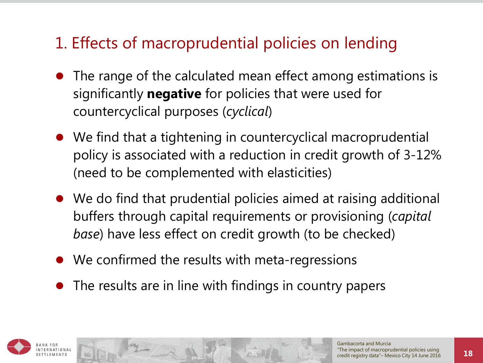# 1. Effects of macroprudential policies on lending

- The range of the calculated mean effect among estimations is significantly **negative** for policies that were used for countercyclical purposes (*cyclical*)
- We find that a tightening in countercyclical macroprudential policy is associated with a reduction in credit growth of 3-12% (need to be complemented with elasticities)
- We do find that prudential policies aimed at raising additional buffers through capital requirements or provisioning (*capital base*) have less effect on credit growth (to be checked)
- We confirmed the results with meta-regressions
- The results are in line with findings in country papers

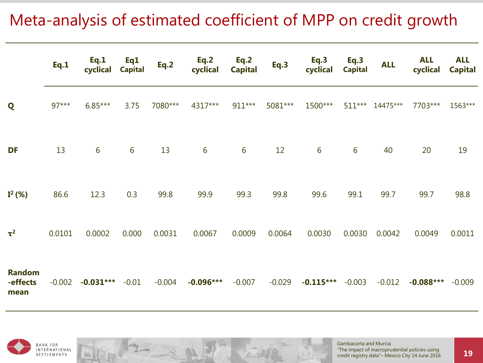# Meta-analysis of estimated coefficient of MPP on credit growth

|                                   | Eq.1     | Eq.1<br>cyclical | Eq1<br><b>Capital</b> | Eq.2     | Eq.2<br>cyclical | Eq.2<br><b>Capital</b> | Eq.3     | Eq.3<br>cyclical | Eq.3<br><b>Capital</b> | <b>ALL</b> | <b>ALL</b><br>cyclical | <b>ALL</b><br><b>Capital</b> |
|-----------------------------------|----------|------------------|-----------------------|----------|------------------|------------------------|----------|------------------|------------------------|------------|------------------------|------------------------------|
| Q                                 | $97***$  | $6.85***$        | 3.75                  | 7080***  | 4317***          | 911***                 | 5081***  | 1500***          | $511***$               | 14475***   | 7703***                | 1563***                      |
| DF                                | 13       | 6                | 6                     | 13       | 6                | $6\phantom{.}6$        | 12       | 6                | 6                      | 40         | 20                     | 19                           |
| $I^2$ (%)                         | 86.6     | 12.3             | 0.3                   | 99.8     | 99.9             | 99.3                   | 99.8     | 99.6             | 99.1                   | 99.7       | 99.7                   | 98.8                         |
| $\tau^2$                          | 0.0101   | 0.0002           | 0.000                 | 0.0031   | 0.0067           | 0.0009                 | 0.0064   | 0.0030           | 0.0030                 | 0.0042     | 0.0049                 | 0.0011                       |
| <b>Random</b><br>-effects<br>mean | $-0.002$ | $-0.031***$      | $-0.01$               | $-0.004$ | $-0.096***$      | $-0.007$               | $-0.029$ | $-0.115***$      | $-0.003$               | $-0.012$   | $-0.088***$            | $-0.009$                     |

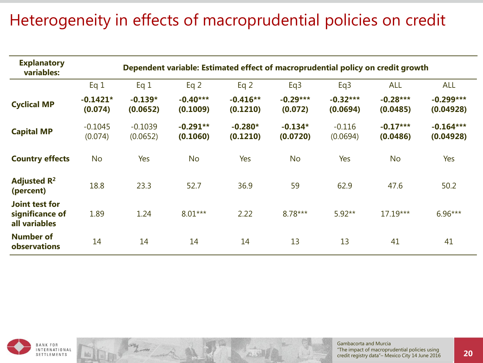# Heterogeneity in effects of macroprudential policies on credit

| <b>Explanatory</b><br>variables:                   | Dependent variable: Estimated effect of macroprudential policy on credit growth |                       |                        |                        |                       |                        |                        |                          |  |  |
|----------------------------------------------------|---------------------------------------------------------------------------------|-----------------------|------------------------|------------------------|-----------------------|------------------------|------------------------|--------------------------|--|--|
|                                                    | Eq 1                                                                            | Eq 1                  | Eq $2$                 | Eq $2$                 | Eq <sub>3</sub>       | Eq <sub>3</sub>        | <b>ALL</b>             | <b>ALL</b>               |  |  |
| <b>Cyclical MP</b>                                 | $-0.1421*$<br>(0.074)                                                           | $-0.139*$<br>(0.0652) | $-0.40***$<br>(0.1009) | $-0.416**$<br>(0.1210) | $-0.29***$<br>(0.072) | $-0.32***$<br>(0.0694) | $-0.28***$<br>(0.0485) | $-0.299***$<br>(0.04928) |  |  |
| <b>Capital MP</b>                                  | $-0.1045$<br>(0.074)                                                            | $-0.1039$<br>(0.0652) | $-0.291**$<br>(0.1060) | $-0.280*$<br>(0.1210)  | $-0.134*$<br>(0.0720) | $-0.116$<br>(0.0694)   | $-0.17***$<br>(0.0486) | $-0.164***$<br>(0.04928) |  |  |
| <b>Country effects</b>                             | <b>No</b>                                                                       | <b>Yes</b>            | <b>No</b>              | Yes                    | <b>No</b>             | Yes                    | <b>No</b>              | Yes                      |  |  |
| Adjusted $\mathbf{R}^2$<br>(percent)               | 18.8                                                                            | 23.3                  | 52.7                   | 36.9                   | 59                    | 62.9                   | 47.6                   | 50.2                     |  |  |
| Joint test for<br>significance of<br>all variables | 1.89                                                                            | 1.24                  | $8.01***$              | 2.22                   | 8.78***               | $5.92**$               | 17.19***               | $6.96***$                |  |  |
| <b>Number of</b><br>observations                   | 14                                                                              | 14                    | 14                     | 14                     | 13                    | 13                     | 41                     | 41                       |  |  |

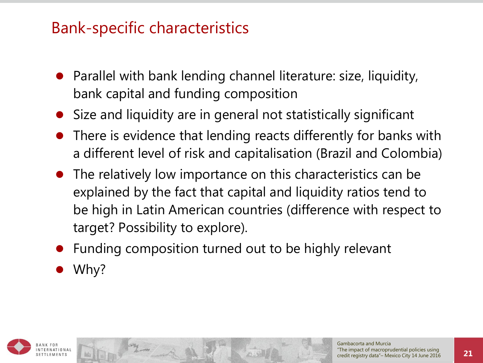#### Bank-specific characteristics

- Parallel with bank lending channel literature: size, liquidity, bank capital and funding composition
- Size and liquidity are in general not statistically significant
- There is evidence that lending reacts differently for banks with a different level of risk and capitalisation (Brazil and Colombia)
- The relatively low importance on this characteristics can be explained by the fact that capital and liquidity ratios tend to be high in Latin American countries (difference with respect to target? Possibility to explore).
- Funding composition turned out to be highly relevant
- Why?

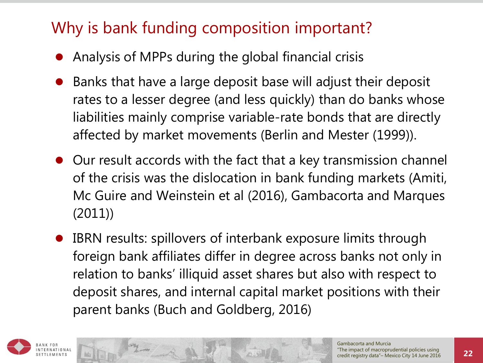# Why is bank funding composition important?

- Analysis of MPPs during the global financial crisis
- Banks that have a large deposit base will adjust their deposit rates to a lesser degree (and less quickly) than do banks whose liabilities mainly comprise variable-rate bonds that are directly affected by market movements (Berlin and Mester (1999)).
- Our result accords with the fact that a key transmission channel of the crisis was the dislocation in bank funding markets (Amiti, Mc Guire and Weinstein et al (2016), Gambacorta and Marques (2011))
- IBRN results: spillovers of interbank exposure limits through foreign bank affiliates differ in degree across banks not only in relation to banks' illiquid asset shares but also with respect to deposit shares, and internal capital market positions with their parent banks (Buch and Goldberg, 2016)

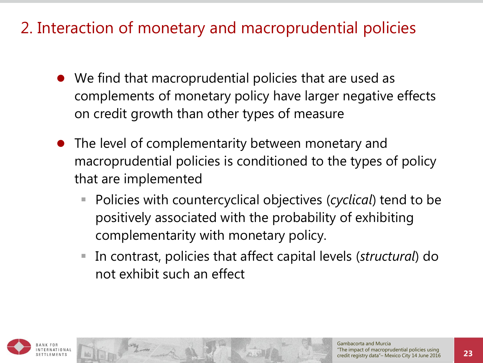# 2. Interaction of monetary and macroprudential policies

- We find that macroprudential policies that are used as complements of monetary policy have larger negative effects on credit growth than other types of measure
- The level of complementarity between monetary and macroprudential policies is conditioned to the types of policy that are implemented
	- Policies with countercyclical objectives (*cyclical*) tend to be positively associated with the probability of exhibiting complementarity with monetary policy.
	- In contrast, policies that affect capital levels (*structural*) do not exhibit such an effect

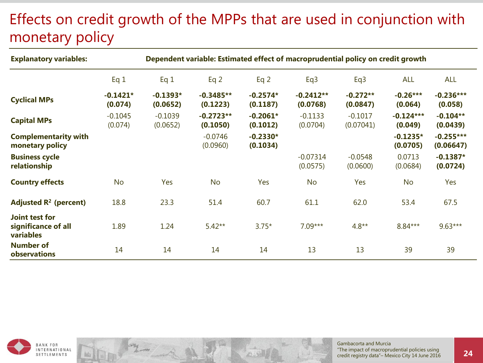# Effects on credit growth of the MPPs that are used in conjunction with monetary policy

| <b>Explanatory variables:</b>                      | Dependent variable: Estimated effect of macroprudential policy on credit growth |                        |                         |                        |                         |                        |                        |                          |
|----------------------------------------------------|---------------------------------------------------------------------------------|------------------------|-------------------------|------------------------|-------------------------|------------------------|------------------------|--------------------------|
|                                                    | Eq 1                                                                            | Eq 1                   | Eq <sub>2</sub>         | Eq $2$                 | Eq <sub>3</sub>         | Eq3                    | <b>ALL</b>             | <b>ALL</b>               |
| <b>Cyclical MPs</b>                                | $-0.1421*$<br>(0.074)                                                           | $-0.1393*$<br>(0.0652) | $-0.3485**$<br>(0.1223) | $-0.2574*$<br>(0.1187) | $-0.2412**$<br>(0.0768) | $-0.272**$<br>(0.0847) | $-0.26***$<br>(0.064)  | $-0.236***$<br>(0.058)   |
| <b>Capital MPs</b>                                 | $-0.1045$<br>(0.074)                                                            | $-0.1039$<br>(0.0652)  | $-0.2723**$<br>(0.1050) | $-0.2061*$<br>(0.1012) | $-0.1133$<br>(0.0704)   | $-0.1017$<br>(0.07041) | $-0.124***$<br>(0.049) | $-0.104**$<br>(0.0439)   |
| <b>Complementarity with</b><br>monetary policy     |                                                                                 |                        | $-0.0746$<br>(0.0960)   | $-0.2330*$<br>(0.1034) |                         |                        | $-0.1235*$<br>(0.0705) | $-0.255***$<br>(0.06647) |
| <b>Business cycle</b><br>relationship              |                                                                                 |                        |                         |                        | $-0.07314$<br>(0.0575)  | $-0.0548$<br>(0.0600)  | 0.0713<br>(0.0684)     | $-0.1387*$<br>(0.0724)   |
| <b>Country effects</b>                             | <b>No</b>                                                                       | Yes                    | <b>No</b>               | Yes                    | <b>No</b>               | Yes                    | <b>No</b>              | Yes                      |
| Adjusted $R^2$ (percent)                           | 18.8                                                                            | 23.3                   | 51.4                    | 60.7                   | 61.1                    | 62.0                   | 53.4                   | 67.5                     |
| Joint test for<br>significance of all<br>variables | 1.89                                                                            | 1.24                   | $5.42**$                | $3.75*$                | $7.09***$               | $4.8**$                | $8.84***$              | $9.63***$                |
| <b>Number of</b><br>observations                   | 14                                                                              | 14                     | 14                      | 14                     | 13                      | 13                     | 39                     | 39                       |

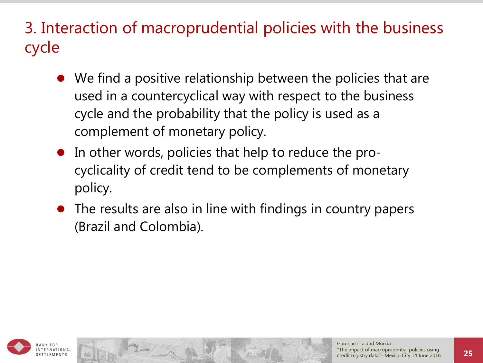3. Interaction of macroprudential policies with the business cycle

- We find a positive relationship between the policies that are used in a countercyclical way with respect to the business cycle and the probability that the policy is used as a complement of monetary policy.
- In other words, policies that help to reduce the procyclicality of credit tend to be complements of monetary policy.
- The results are also in line with findings in country papers (Brazil and Colombia).

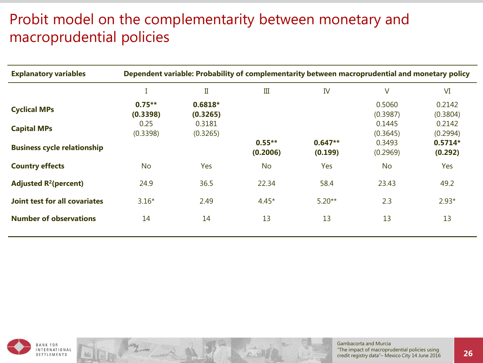#### Probit model on the complementarity between monetary and macroprudential policies

| <b>Explanatory variables</b>         | Dependent variable: Probability of complementarity between macroprudential and monetary policy |                       |                       |                      |                    |                      |  |
|--------------------------------------|------------------------------------------------------------------------------------------------|-----------------------|-----------------------|----------------------|--------------------|----------------------|--|
|                                      |                                                                                                | $\rm II$              | $\rm III$             | IV                   | V                  | VI                   |  |
| <b>Cyclical MPs</b>                  | $0.75***$<br>(0.3398)                                                                          | $0.6818*$<br>(0.3265) |                       |                      | 0.5060<br>(0.3987) | 0.2142<br>(0.3804)   |  |
| <b>Capital MPs</b>                   | 0.25<br>(0.3398)                                                                               | 0.3181<br>(0.3265)    |                       |                      | 0.1445<br>(0.3645) | 0.2142<br>(0.2994)   |  |
| <b>Business cycle relationship</b>   |                                                                                                |                       | $0.55***$<br>(0.2006) | $0.647**$<br>(0.199) | 0.3493<br>(0.2969) | $0.5714*$<br>(0.292) |  |
| <b>Country effects</b>               | <b>No</b>                                                                                      | Yes                   | <b>No</b>             | Yes                  | <b>No</b>          | Yes                  |  |
| Adjusted $R^2$ (percent)             | 24.9                                                                                           | 36.5                  | 22.34                 | 58.4                 | 23.43              | 49.2                 |  |
| <b>Joint test for all covariates</b> | $3.16*$                                                                                        | 2.49                  | $4.45*$               | $5.20**$             | 2.3                | $2.93*$              |  |
| <b>Number of observations</b>        | 14                                                                                             | 14                    | 13                    | 13                   | 13                 | 13                   |  |

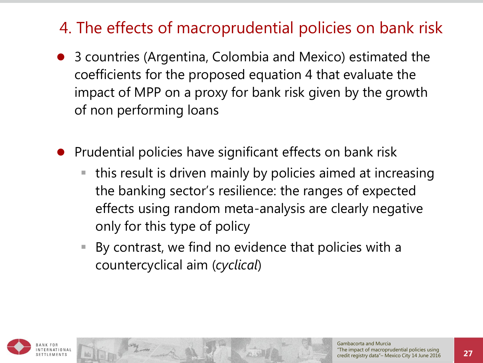# 4. The effects of macroprudential policies on bank risk

- 3 countries (Argentina, Colombia and Mexico) estimated the coefficients for the proposed equation 4 that evaluate the impact of MPP on a proxy for bank risk given by the growth of non performing loans
- Prudential policies have significant effects on bank risk
	- this result is driven mainly by policies aimed at increasing the banking sector's resilience: the ranges of expected effects using random meta-analysis are clearly negative only for this type of policy
	- By contrast, we find no evidence that policies with a countercyclical aim (*cyclical*)

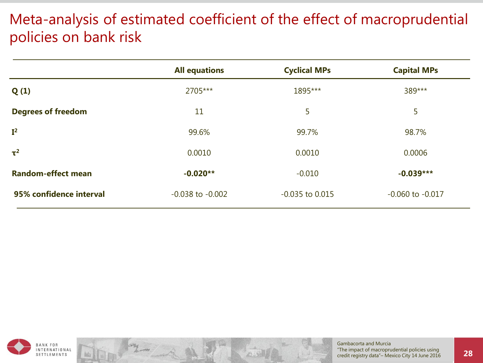#### Meta-analysis of estimated coefficient of the effect of macroprudential policies on bank risk

|                           | <b>All equations</b> | <b>Cyclical MPs</b> | <b>Capital MPs</b>   |
|---------------------------|----------------------|---------------------|----------------------|
| Q(1)                      | 2705***              | 1895***             | 389***               |
| <b>Degrees of freedom</b> | 11                   | 5                   | 5                    |
| I <sup>2</sup>            | 99.6%                | 99.7%               | 98.7%                |
| $\tau^2$                  | 0.0010               | 0.0010              | 0.0006               |
| <b>Random-effect mean</b> | $-0.020**$           | $-0.010$            | $-0.039***$          |
| 95% confidence interval   | $-0.038$ to $-0.002$ | $-0.035$ to $0.015$ | $-0.060$ to $-0.017$ |

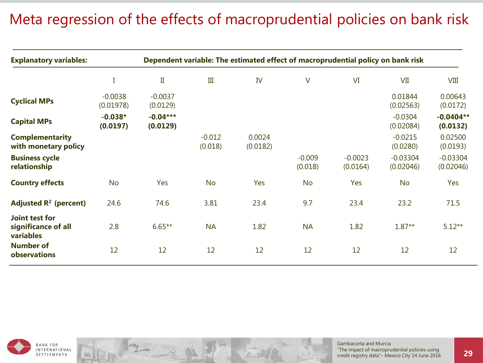#### Meta regression of the effects of macroprudential policies on bank risk

| <b>Explanatory variables:</b>                      | Dependent variable: The estimated effect of macroprudential policy on bank risk |                        |                     |                    |                     |                       |                         |                         |  |
|----------------------------------------------------|---------------------------------------------------------------------------------|------------------------|---------------------|--------------------|---------------------|-----------------------|-------------------------|-------------------------|--|
|                                                    |                                                                                 | $\rm{II}$              | III                 | IV                 | V                   | VI                    | VII                     | <b>VIII</b>             |  |
| <b>Cyclical MPs</b>                                | $-0.0038$<br>(0.01978)                                                          | $-0.0037$<br>(0.0129)  |                     |                    |                     |                       | 0.01844<br>(0.02563)    | 0.00643<br>(0.0172)     |  |
| <b>Capital MPs</b>                                 | $-0.038*$<br>(0.0197)                                                           | $-0.04***$<br>(0.0129) |                     |                    |                     |                       | $-0.0304$<br>(0.02084)  | $-0.0404**$<br>(0.0132) |  |
| <b>Complementarity</b><br>with monetary policy     |                                                                                 |                        | $-0.012$<br>(0.018) | 0.0024<br>(0.0182) |                     |                       | $-0.0215$<br>(0.0280)   | 0.02500<br>(0.0193)     |  |
| <b>Business cycle</b><br>relationship              |                                                                                 |                        |                     |                    | $-0.009$<br>(0.018) | $-0.0023$<br>(0.0164) | $-0.03304$<br>(0.02046) | $-0.03304$<br>(0.02046) |  |
| <b>Country effects</b>                             | <b>No</b>                                                                       | Yes                    | <b>No</b>           | Yes                | <b>No</b>           | Yes                   | <b>No</b>               | Yes                     |  |
| Adjusted $R^2$ (percent)                           | 24.6                                                                            | 74.6                   | 3.81                | 23.4               | 9.7                 | 23.4                  | 23.2                    | 71.5                    |  |
| Joint test for<br>significance of all<br>variables | 2.8                                                                             | $6.65**$               | <b>NA</b>           | 1.82               | <b>NA</b>           | 1.82                  | $1.87**$                | $5.12**$                |  |
| <b>Number of</b><br>observations                   | 12                                                                              | 12                     | 12                  | 12                 | 12                  | 12                    | 12                      | 12                      |  |

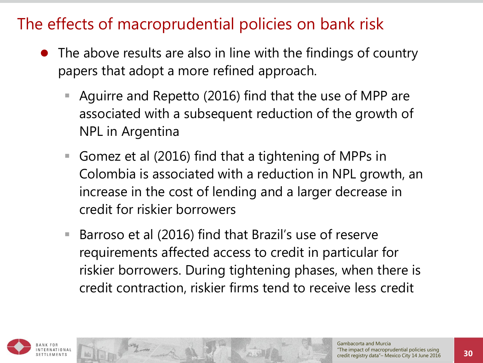### The effects of macroprudential policies on bank risk

- The above results are also in line with the findings of country papers that adopt a more refined approach.
	- Aguirre and Repetto (2016) find that the use of MPP are associated with a subsequent reduction of the growth of NPL in Argentina
	- Gomez et al (2016) find that a tightening of MPPs in Colombia is associated with a reduction in NPL growth, an increase in the cost of lending and a larger decrease in credit for riskier borrowers
	- Barroso et al (2016) find that Brazil's use of reserve requirements affected access to credit in particular for riskier borrowers. During tightening phases, when there is credit contraction, riskier firms tend to receive less credit

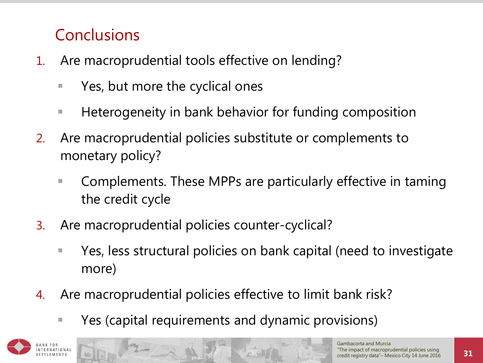# **Conclusions**

- 1. Are macroprudential tools effective on lending?
	- Yes, but more the cyclical ones
	- **Heterogeneity in bank behavior for funding composition**
- 2. Are macroprudential policies substitute or complements to monetary policy?
	- Complements. These MPPs are particularly effective in taming the credit cycle
- 3. Are macroprudential policies counter-cyclical?
	- Yes, less structural policies on bank capital (need to investigate more)
- 4. Are macroprudential policies effective to limit bank risk?
	- Yes (capital requirements and dynamic provisions)

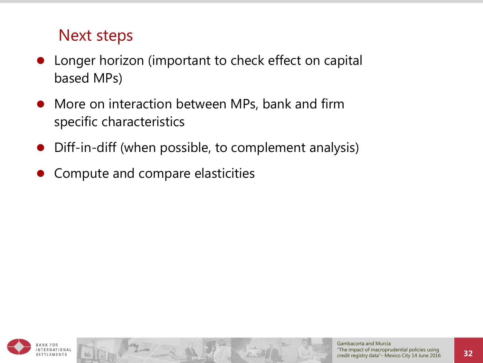#### Next steps

- Longer horizon (important to check effect on capital based MPs)
- More on interaction between MPs, bank and firm specific characteristics
- Diff-in-diff (when possible, to complement analysis)
- Compute and compare elasticities